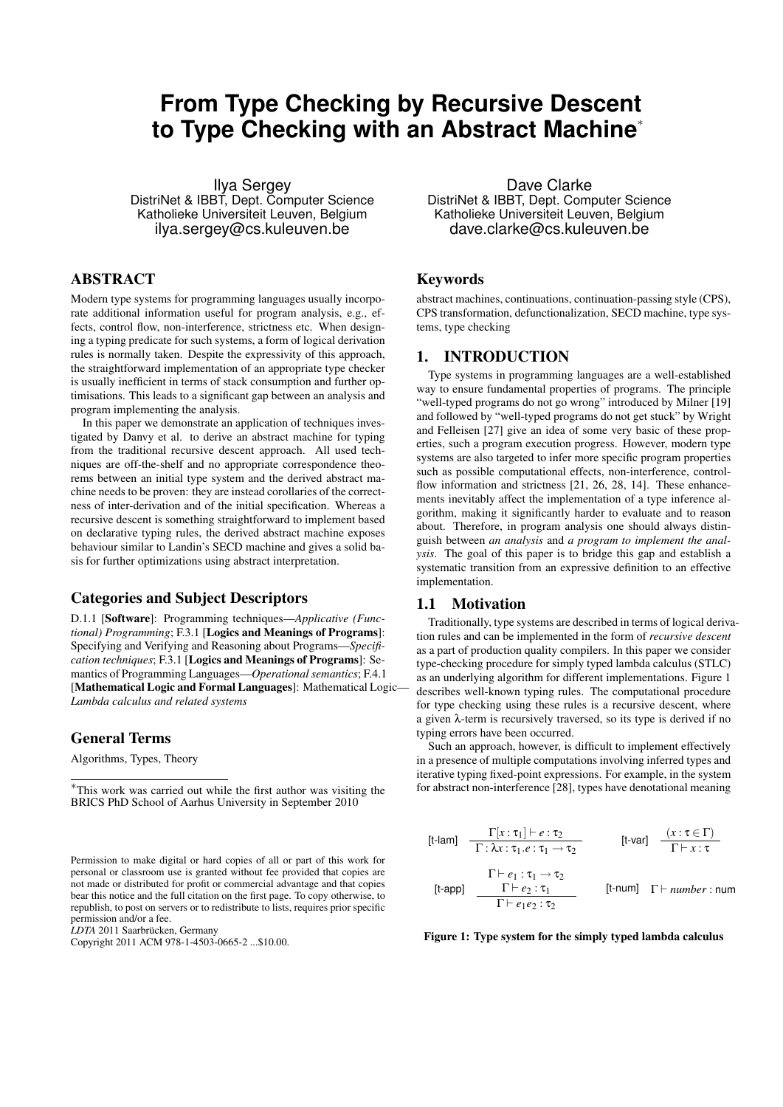# **From Type Checking by Recursive Descent to Type Checking with an Abstract Machine**<sup>∗</sup>

Ilya Sergey DistriNet & IBBT, Dept. Computer Science Katholieke Universiteit Leuven, Belgium ilya.sergey@cs.kuleuven.be

## ABSTRACT

Modern type systems for programming languages usually incorporate additional information useful for program analysis, e.g., effects, control flow, non-interference, strictness etc. When designing a typing predicate for such systems, a form of logical derivation rules is normally taken. Despite the expressivity of this approach, the straightforward implementation of an appropriate type checker is usually inefficient in terms of stack consumption and further optimisations. This leads to a significant gap between an analysis and program implementing the analysis.

In this paper we demonstrate an application of techniques investigated by Danvy et al. to derive an abstract machine for typing from the traditional recursive descent approach. All used techniques are off-the-shelf and no appropriate correspondence theorems between an initial type system and the derived abstract machine needs to be proven: they are instead corollaries of the correctness of inter-derivation and of the initial specification. Whereas a recursive descent is something straightforward to implement based on declarative typing rules, the derived abstract machine exposes behaviour similar to Landin's SECD machine and gives a solid basis for further optimizations using abstract interpretation.

## Categories and Subject Descriptors

D.1.1 [Software]: Programming techniques—*Applicative (Functional) Programming*; F.3.1 [Logics and Meanings of Programs]: Specifying and Verifying and Reasoning about Programs—*Specification techniques*; F.3.1 [Logics and Meanings of Programs]: Semantics of Programming Languages—*Operational semantics*; F.4.1 [Mathematical Logic and Formal Languages]: Mathematical Logic— *Lambda calculus and related systems*

## General Terms

Algorithms, Types, Theory

*LDTA* 2011 Saarbrücken, Germany

Copyright 2011 ACM 978-1-4503-0665-2 ...\$10.00.

Dave Clarke DistriNet & IBBT, Dept. Computer Science Katholieke Universiteit Leuven, Belgium dave.clarke@cs.kuleuven.be

## Keywords

abstract machines, continuations, continuation-passing style (CPS), CPS transformation, defunctionalization, SECD machine, type systems, type checking

#### 1. INTRODUCTION

Type systems in programming languages are a well-established way to ensure fundamental properties of programs. The principle "well-typed programs do not go wrong" introduced by Milner [19] and followed by "well-typed programs do not get stuck" by Wright and Felleisen [27] give an idea of some very basic of these properties, such a program execution progress. However, modern type systems are also targeted to infer more specific program properties such as possible computational effects, non-interference, controlflow information and strictness [21, 26, 28, 14]. These enhancements inevitably affect the implementation of a type inference algorithm, making it significantly harder to evaluate and to reason about. Therefore, in program analysis one should always distinguish between *an analysis* and *a program to implement the analysis*. The goal of this paper is to bridge this gap and establish a systematic transition from an expressive definition to an effective implementation.

#### 1.1 Motivation

Traditionally, type systems are described in terms of logical derivation rules and can be implemented in the form of *recursive descent* as a part of production quality compilers. In this paper we consider type-checking procedure for simply typed lambda calculus (STLC) as an underlying algorithm for different implementations. Figure 1 describes well-known typing rules. The computational procedure for type checking using these rules is a recursive descent, where a given λ-term is recursively traversed, so its type is derived if no typing errors have been occurred.

Such an approach, however, is difficult to implement effectively in a presence of multiple computations involving inferred types and iterative typing fixed-point expressions. For example, in the system for abstract non-interference [28], types have denotational meaning

$$
\begin{array}{ll}\n\text{[t-lam]} & \frac{\Gamma[x:\tau_1] \vdash e:\tau_2}{\Gamma:\lambda x:\tau_1.e:\tau_1 \rightarrow \tau_2} & \text{[t-var]} & \frac{(x:\tau \in \Gamma)}{\Gamma \vdash x:\tau} \\
& \frac{\Gamma \vdash e_1:\tau_1 \rightarrow \tau_2}{\Gamma \vdash e_2:\tau_1} & \text{[t-num]} & \Gamma \vdash \textit{number}:\textit{num}\n\end{array}
$$

Figure 1: Type system for the simply typed lambda calculus

<sup>∗</sup>This work was carried out while the first author was visiting the BRICS PhD School of Aarhus University in September 2010

Permission to make digital or hard copies of all or part of this work for personal or classroom use is granted without fee provided that copies are not made or distributed for profit or commercial advantage and that copies bear this notice and the full citation on the first page. To copy otherwise, to republish, to post on servers or to redistribute to lists, requires prior specific permission and/or a fee.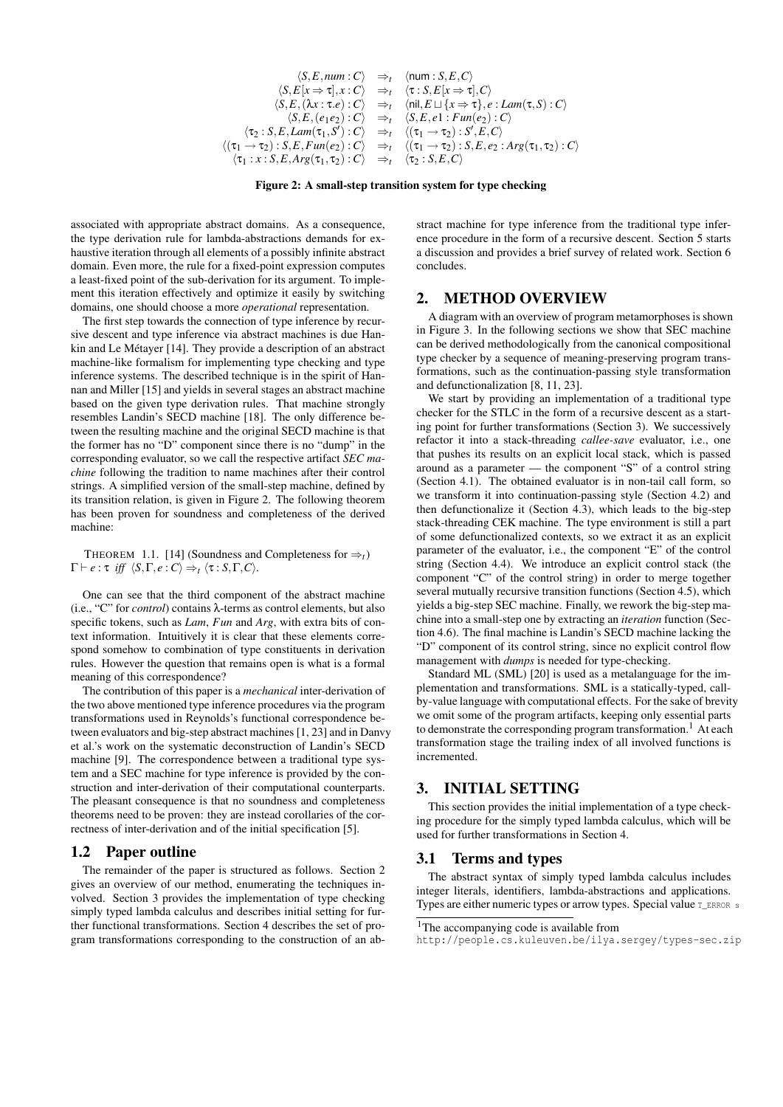```
\langle S, E, num : C \rangle \Rightarrow_t \langle num : S, E, C \rangle<br>\langle S, E[x \Rightarrow \tau], x : C \rangle \Rightarrow_t \langle \tau : S, E[x \Rightarrow \tau]\langle S, E[x \Rightarrow \tau], x : C \rangle \Rightarrow_t \langle \tau : S, E[x \Rightarrow \tau], C \rangle<br>\langle S, E, (\lambda x : \tau.e) : C \rangle \Rightarrow_t \langle \text{nil}, E \sqcup \{x \Rightarrow \tau\}, e \rangle\langle E, (\lambda x : \tau. e) : C \rangle \implies t \quad \langle \text{nil}, E \sqcup \{x \Rightarrow \tau\}, e : Lam(\tau, S) : C \rangle<br>\langle S, E, (e_1 e_2) : C \rangle \implies t \quad \langle S, E, e_1 : Fun(e_2) : C \rangle\Rightarrowt \langle S, E, e_1 : Fun(e_2) : C \rangle\langle \tau_2 : S, E, Lam(\tau_1, S)\langle \sigma_1 \rangle : C \rangle \Rightarrow_t \langle (\tau_1 \rightarrow \tau_2) : S', E, C \rangle\langle (\tau_1 \rightarrow \tau_2) : S, E, Fun(e_2) : C \rangle \Rightarrow_t \langle (\tau_1 \rightarrow \tau_2) : S, E, e_2 : Arg(\tau_1, \tau_2) : C \rangle<br>\langle \tau_1 : x : S, E, Arg(\tau_1, \tau_2) : C \rangle \Rightarrow_t \langle \tau_2 : S, E, C \rangle\langle \tau_1 : x : S, E, Arg(\tau_1, \tau_2) : C \rangle
```
Figure 2: A small-step transition system for type checking

associated with appropriate abstract domains. As a consequence, the type derivation rule for lambda-abstractions demands for exhaustive iteration through all elements of a possibly infinite abstract domain. Even more, the rule for a fixed-point expression computes a least-fixed point of the sub-derivation for its argument. To implement this iteration effectively and optimize it easily by switching domains, one should choose a more *operational* representation.

The first step towards the connection of type inference by recursive descent and type inference via abstract machines is due Hankin and Le Métayer [14]. They provide a description of an abstract machine-like formalism for implementing type checking and type inference systems. The described technique is in the spirit of Hannan and Miller [15] and yields in several stages an abstract machine based on the given type derivation rules. That machine strongly resembles Landin's SECD machine [18]. The only difference between the resulting machine and the original SECD machine is that the former has no "D" component since there is no "dump" in the corresponding evaluator, so we call the respective artifact *SEC machine* following the tradition to name machines after their control strings. A simplified version of the small-step machine, defined by its transition relation, is given in Figure 2. The following theorem has been proven for soundness and completeness of the derived machine:

THEOREM 1.1. [14] (Soundness and Completeness for  $\Rightarrow$ <sub>t</sub>)  $\Gamma \vdash e : \tau \text{ iff } \langle S, \Gamma, e : C \rangle \Rightarrow_t \langle \tau : S, \Gamma, C \rangle.$ 

One can see that the third component of the abstract machine (i.e., "C" for *control*) contains λ-terms as control elements, but also specific tokens, such as *Lam*, *Fun* and *Arg*, with extra bits of context information. Intuitively it is clear that these elements correspond somehow to combination of type constituents in derivation rules. However the question that remains open is what is a formal meaning of this correspondence?

The contribution of this paper is a *mechanical* inter-derivation of the two above mentioned type inference procedures via the program transformations used in Reynolds's functional correspondence between evaluators and big-step abstract machines [1, 23] and in Danvy et al.'s work on the systematic deconstruction of Landin's SECD machine [9]. The correspondence between a traditional type system and a SEC machine for type inference is provided by the construction and inter-derivation of their computational counterparts. The pleasant consequence is that no soundness and completeness theorems need to be proven: they are instead corollaries of the correctness of inter-derivation and of the initial specification [5].

#### 1.2 Paper outline

The remainder of the paper is structured as follows. Section 2 gives an overview of our method, enumerating the techniques involved. Section 3 provides the implementation of type checking simply typed lambda calculus and describes initial setting for further functional transformations. Section 4 describes the set of program transformations corresponding to the construction of an abstract machine for type inference from the traditional type inference procedure in the form of a recursive descent. Section 5 starts a discussion and provides a brief survey of related work. Section 6 concludes.

#### 2. METHOD OVERVIEW

A diagram with an overview of program metamorphoses is shown in Figure 3. In the following sections we show that SEC machine can be derived methodologically from the canonical compositional type checker by a sequence of meaning-preserving program transformations, such as the continuation-passing style transformation and defunctionalization [8, 11, 23].

We start by providing an implementation of a traditional type checker for the STLC in the form of a recursive descent as a starting point for further transformations (Section 3). We successively refactor it into a stack-threading *callee-save* evaluator, i.e., one that pushes its results on an explicit local stack, which is passed around as a parameter — the component "S" of a control string (Section 4.1). The obtained evaluator is in non-tail call form, so we transform it into continuation-passing style (Section 4.2) and then defunctionalize it (Section 4.3), which leads to the big-step stack-threading CEK machine. The type environment is still a part of some defunctionalized contexts, so we extract it as an explicit parameter of the evaluator, i.e., the component "E" of the control string (Section 4.4). We introduce an explicit control stack (the component "C" of the control string) in order to merge together several mutually recursive transition functions (Section 4.5), which yields a big-step SEC machine. Finally, we rework the big-step machine into a small-step one by extracting an *iteration* function (Section 4.6). The final machine is Landin's SECD machine lacking the "D" component of its control string, since no explicit control flow management with *dumps* is needed for type-checking.

Standard ML (SML) [20] is used as a metalanguage for the implementation and transformations. SML is a statically-typed, callby-value language with computational effects. For the sake of brevity we omit some of the program artifacts, keeping only essential parts to demonstrate the corresponding program transformation.<sup>1</sup> At each transformation stage the trailing index of all involved functions is incremented.

## 3. INITIAL SETTING

This section provides the initial implementation of a type checking procedure for the simply typed lambda calculus, which will be used for further transformations in Section 4.

#### 3.1 Terms and types

The abstract syntax of simply typed lambda calculus includes integer literals, identifiers, lambda-abstractions and applications. Types are either numeric types or arrow types. Special value  $T_{ERROR}$  s

<sup>1</sup>The accompanying code is available from

http://people.cs.kuleuven.be/ilya.sergey/types-sec.zip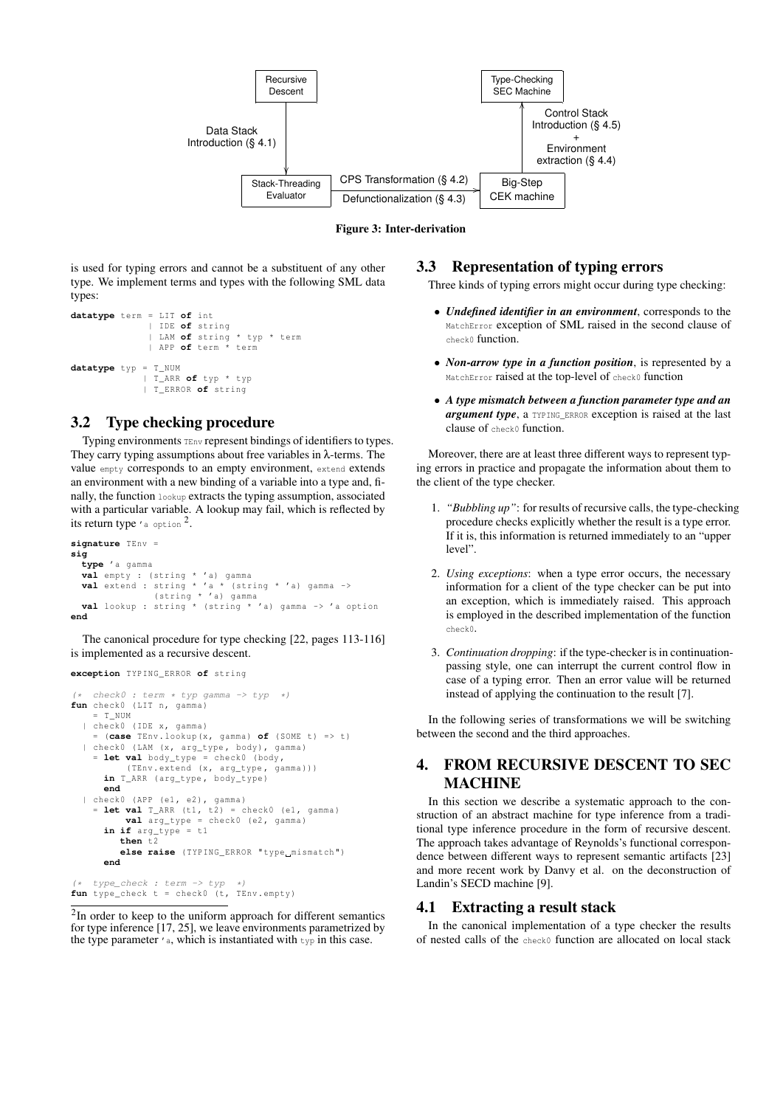



is used for typing errors and cannot be a substituent of any other type. We implement terms and types with the following SML data types:

```
datatype term = LIT of int
                | IDE of string
| LAM of string * typ * term
                | APP of term * term
datatype typ = T_NUM
               | T_ARR of typ * typ
               | T_ERROR of string
```
# 3.2 Type checking procedure

Typing environments TEnv represent bindings of identifiers to types. They carry typing assumptions about free variables in  $\lambda$ -terms. The value empty corresponds to an empty environment, extend extends an environment with a new binding of a variable into a type and, finally, the function lookup extracts the typing assumption, associated with a particular variable. A lookup may fail, which is reflected by its return type  $\prime$  a option  $^2$ .

```
signature TEnv =
sig
  type 'a gamma
   val empty : ( string * 'a) gamma
   val extend : string * 'a * ( string * 'a) gamma ->
( string * 'a) gamma
val lookup : string * ( string * 'a) gamma -> 'a option
end
```
The canonical procedure for type checking [22, pages 113-116] is implemented as a recursive descent.

```
exception TYPING_ERROR of string
```

```
check0 : term * typ gamma -> typ *)
fun check0 (LIT n, gamma)
     = T NUM
   | check0 (IDE x, gamma)
     = (case TEnv . lookup (x , gamma ) of ( SOME t) => t)
   | check0 (LAM (x, arg_type, body), gamma)<br>= let val body_type = check0 (body,
             (TEnv.extend (x, arg_type, gamma)))
        in T_ARR (arg_type, body_type)
        end
   | check0 (APP (e1, e2), gamma)<br>
= let val T_ARR (t1, t2) = check0 (e1, gamma)<br>
val arg_type = check0 (e2, gamma)
        \textbf{in} \textbf{if} \text{arg}_\text{type} = t1then t2
            else raise (TYPING_ERROR "type_mismatch")
        end
(* type check : term \rightarrow typ *)fun type_check t = check0 (t, TEnv. empty)
```
## 3.3 Representation of typing errors

Three kinds of typing errors might occur during type checking:

- *Undefined identifier in an environment*, corresponds to the MatchError exception of SML raised in the second clause of check0 function.
- *Non-arrow type in a function position*, is represented by a MatchError raised at the top-level of check0 function
- *A type mismatch between a function parameter type and an argument type*, a TYPING\_ERROR exception is raised at the last clause of check0 function.

Moreover, there are at least three different ways to represent typing errors in practice and propagate the information about them to the client of the type checker.

- 1. *"Bubbling up"*: for results of recursive calls, the type-checking procedure checks explicitly whether the result is a type error. If it is, this information is returned immediately to an "upper level".
- 2. *Using exceptions*: when a type error occurs, the necessary information for a client of the type checker can be put into an exception, which is immediately raised. This approach is employed in the described implementation of the function check0.
- 3. *Continuation dropping*: if the type-checker is in continuationpassing style, one can interrupt the current control flow in case of a typing error. Then an error value will be returned instead of applying the continuation to the result [7].

In the following series of transformations we will be switching between the second and the third approaches.

# 4. FROM RECURSIVE DESCENT TO SEC MACHINE

In this section we describe a systematic approach to the construction of an abstract machine for type inference from a traditional type inference procedure in the form of recursive descent. The approach takes advantage of Reynolds's functional correspondence between different ways to represent semantic artifacts [23] and more recent work by Danvy et al. on the deconstruction of Landin's SECD machine [9].

## 4.1 Extracting a result stack

In the canonical implementation of a type checker the results of nested calls of the check0 function are allocated on local stack

 $2$ In order to keep to the uniform approach for different semantics for type inference [17, 25], we leave environments parametrized by the type parameter  $\prime$  a, which is instantiated with  $\text{tr}_{\text{YP}}$  in this case.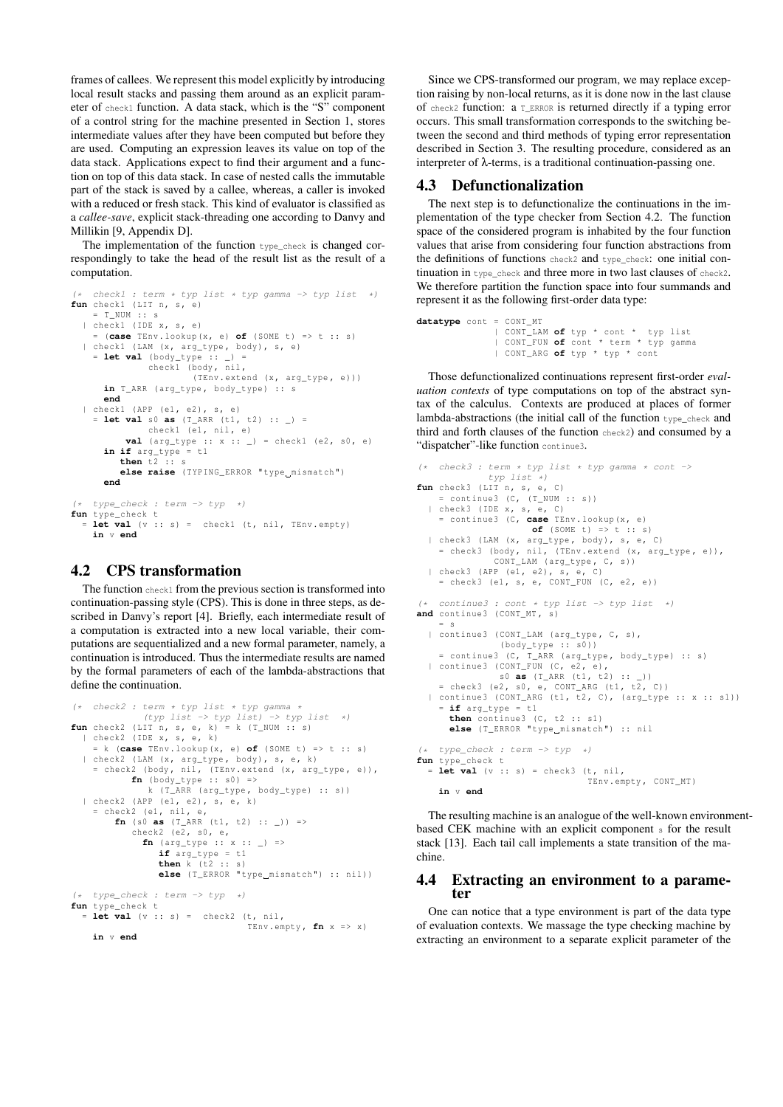frames of callees. We represent this model explicitly by introducing local result stacks and passing them around as an explicit parameter of check1 function. A data stack, which is the "S" component of a control string for the machine presented in Section 1, stores intermediate values after they have been computed but before they are used. Computing an expression leaves its value on top of the data stack. Applications expect to find their argument and a function on top of this data stack. In case of nested calls the immutable part of the stack is saved by a callee, whereas, a caller is invoked with a reduced or fresh stack. This kind of evaluator is classified as a *callee-save*, explicit stack-threading one according to Danvy and Millikin [9, Appendix D].

The implementation of the function type\_check is changed correspondingly to take the head of the result list as the result of a computation.

```
check1 : term * typ list * typ gamma -> typ list *)
fun \ncheck{1} \ncheck{1} \ncheck{1} \ncheck{1} \ncheck{1} \ncheck{1} \ncheck{1} \ncheck{1} \ncheck{1} \ncheck{1} \ncheck{1} \ncheck{1} \ncheck{1} \ncheck{1} \ncheck{1} \ncheck{1} \ncheck{1} \ncheck{1} \ncheck{1} \ncheck{1} \ncheck{1} \ncheck{1} \ncheck{1} \ncheck{1} \ncheck{1} \ncheck{1} \ncheck{1} \ncheck{1} \ncheck{1} \ncheck{1} \ncheck{1} \ncheck{1} \ncheck{1} \ncheck{1} \ncheck{1} \ncheck{1} \ncheck| check1 (IDE x, s, e)
       = (case TEnv . lookup (x , e) of ( SOME t) => t :: s)
    | check1 (LAM (x, arg_type, body), s, e)
       = let val ( body_type :: _) =
                        check1 (body, nil,
                                       (TEnv.extend (x, arg_type, e)))
          in T_ARR ( arg_type , body_type ) :: s
          end
    \lvert check1 (APP (e1, e2), s, e)
       = let val s0 as (T_ARR (t1, t2) :: ) =<br>check1 (e1, nil, e)
                 val (arg_type :: x :: \_) = check1 (e2, s0, e)in if arg_type = t1
then t2 :: s
               else raise (TYPING_ERROR "type_mismatch")
          end
      (* type_check : term -> typ *)
fun type check t
    = let val (v :: s) = check1 (t, \text{nil}, \text{TEnv.empty})in v end
```
## 4.2 CPS transformation

The function check1 from the previous section is transformed into continuation-passing style (CPS). This is done in three steps, as described in Danvy's report [4]. Briefly, each intermediate result of a computation is extracted into a new local variable, their computations are sequentialized and a new formal parameter, namely, a continuation is introduced. Thus the intermediate results are named by the formal parameters of each of the lambda-abstractions that define the continuation.

```
(* check2 : term * typ list * typ gamma * (tvD \text{ list } -> tvD \text{ list } -> tvD \text{ list } *)(typ list \rightarrow typ list)
fun check2 (LIT n, s, e, k) = k (T_N) (t) (t) (t) (t)| check2 (IDE x, s, e, k)
     = k (case TEnv . lookup (x , e) of ( SOME t) => t :: s)
  | check2 (LAM (x, arg_type, body), s, e, k)
     = check2 (body, nil, (TEnv.extend (x, arg_type, e)),
             fn (body type :: s0) =>
                 k (T_ARR \ (arg_type, body_type) :: s))
  | check2 (APP (e1, e2), s, e, k)
     = check2 (e1, nil, e,
         fn ( s0 as (T_ARR (t1, t2) :: ))check2 (e_2, so, e_1)fn (arg_type :: x :: _) =>
                    if arg_type = t1<br>
then k (t2 :: s)
                   else ( T_ERROR " type_mismatch" ) :: nil ) )
(* type_check : term -> typ *)
fun type_check t<br>= let val (v : : s) = check2 (t, ni),
                                       TEnv.empty, fn \times \Rightarrow x)in v end
```
Since we CPS-transformed our program, we may replace exception raising by non-local returns, as it is done now in the last clause of check2 function: a  $T$  ERROR is returned directly if a typing error occurs. This small transformation corresponds to the switching between the second and third methods of typing error representation described in Section 3. The resulting procedure, considered as an interpreter of  $\lambda$ -terms, is a traditional continuation-passing one.

# 4.3 Defunctionalization

The next step is to defunctionalize the continuations in the implementation of the type checker from Section 4.2. The function space of the considered program is inhabited by the four function values that arise from considering four function abstractions from the definitions of functions check2 and type check: one initial continuation in type\_check and three more in two last clauses of check2. We therefore partition the function space into four summands and represent it as the following first-order data type:

```
datatype cont = CONT_MT
                    | CONT_LAM of typ * cont * typ list
| CONT_FUN of cont * term * typ gamma
                    | CONT_ARG of typ * typ * cont
```
Those defunctionalized continuations represent first-order *evaluation contexts* of type computations on top of the abstract syntax of the calculus. Contexts are produced at places of former lambda-abstractions (the initial call of the function type\_check and third and forth clauses of the function check2) and consumed by a "dispatcher"-like function continue3.

```
(* \text{ check3 : term * typ list * typ game * cont ->typ \; list \; * )fun check3 (LIT n, s, e, C)
     = continue3 (C, (T_NUM :: s))
   | check3 (IDE x, s, e, C)
     = continue3 (C, case TEnv.lookup (x, e)
                         of ( SOME t) => t :: s)
  | check3 (LAM (x, arg_type, body), s, e, C)
     = check3 (body, nil, (TEnv.extend (x, arg_type, e)),<br>CONT_LAM (arg_type, C, s))
  | check3 (APP (e1, e2), s, e, C)
     = check3 (e1, s, e, CONT_FUN (C, e2, e))
    continue3 : cont * typ list -> typ list *and continue3 (CONT_MT, s)
    = s
  | continue3 (CONT_LAM (arg_type, C, s),
                  (body_type :: s0)= continue3 (C, T_ARR (arg_type, body_type) :: s)
  | continue3 (CONT_FUN (C, e2, e),<br>
s0 as (T_ARR (t1, t2) :: _))<br>
= check3 (e2, s0, e, CONT_ARG (t1, t2, C))
  | continue3 (CONT_ARG (t1, t2, C), (arg_type :: x :: s1))
     = if arg_type = t1
       then continue3 (C, t2 :: s1)<br>else (T_ERROR "type_mismatch") :: nil
   type check : term \rightarrow typ \star)
fun type_check t
  = let val (v :: s) = check3 (t, \text{nil}),
                                      TEnv . empty , CONT_MT )
     in v end
```
The resulting machine is an analogue of the well-known environmentbased CEK machine with an explicit component s for the result stack [13]. Each tail call implements a state transition of the machine.

#### 4.4 Extracting an environment to a parameter

One can notice that a type environment is part of the data type of evaluation contexts. We massage the type checking machine by extracting an environment to a separate explicit parameter of the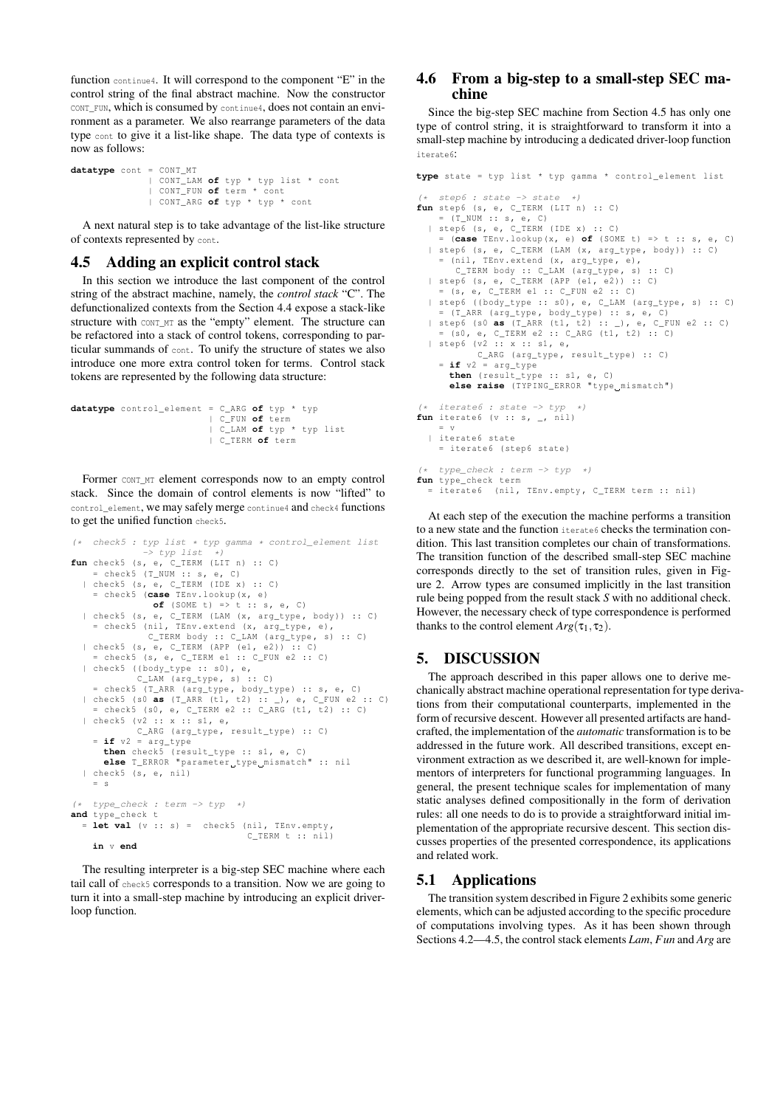function continue4. It will correspond to the component "E" in the control string of the final abstract machine. Now the constructor CONT\_FUN, which is consumed by continue4, does not contain an environment as a parameter. We also rearrange parameters of the data type cont to give it a list-like shape. The data type of contexts is now as follows:

```
datatype cont = CONT_MT
                | CONT_LAM of typ * typ list * cont
                | CONT_FUN of term * cont
               | CONT_ARG of typ * typ * cont
```
A next natural step is to take advantage of the list-like structure of contexts represented by cont.

## 4.5 Adding an explicit control stack

In this section we introduce the last component of the control string of the abstract machine, namely, the *control stack* "C". The defunctionalized contexts from the Section 4.4 expose a stack-like structure with CONT\_MT as the "empty" element. The structure can be refactored into a stack of control tokens, corresponding to particular summands of cont. To unify the structure of states we also introduce one more extra control token for terms. Control stack tokens are represented by the following data structure:

```
datatype control_element = C_ARG of typ * typ
                         | C_FUN of term
                         | C_LAM of typ * typ list
                         | C_TERM of term
```
Former CONT\_MT element corresponds now to an empty control stack. Since the domain of control elements is now "lifted" to control\_element, we may safely merge continue4 and check4 functions to get the unified function check5.

```
(* check5 : typ list * typ gamma * control_element list
-> typ list *)
fun check5 (s , e , C_TERM ( LIT n) :: C)
   = check5 ( T_NUM :: s , e , C)
| check5 (s , e , C_TERM ( IDE x) :: C)
     = check5 (case TEnv . lookup (x , e)
                   of (SOME t) => t :: s, e, C)
   | check5 (s, e, C_TERM (LAM (x, arg_type, body)) :: C)
     = check5 (nil, TEnv. extend (x, arg_type, e),
   C_TERM body :: C_LAM (arg_type, s) :: C)<br>| check5 (s, e, C_TERM (APP (e1, e2)) :: C)
     = check5 (s, e, C_TERM e1 :: C_FUN e2 :: C)
   | check5 (( body_type :: s0 ), e ,
C_LAM ( arg_type , s) :: C)
   = check5 (T_ARR (arg_type, body_type) :: s, e, C)<br>| check5 (s0 as (T_ARR (t1, t2) :: _), e, C_FUN e2 :: C)<br>= check5 (s0, e, C_TERM e2 :: C_ARG (t1, t2) :: C)
   | check5 (v2 :: x :: s1, e,
                C_ARG (arg_type, result_type) :: C)
     = if v2 = arg_type
        then check5 ( result_type :: s1 , e , C)
else T_ERROR " parameter type mismatch " :: nil
   | check5 (s, e, nil)
      = stype\_check : term \rightarrow typ \rightarrow)and type_check t
   = let val (v : : s) = check5 (nil, TEnv . empty)C_TERM t :: nil)
     in v end
```
The resulting interpreter is a big-step SEC machine where each tail call of check5 corresponds to a transition. Now we are going to turn it into a small-step machine by introducing an explicit driverloop function.

## 4.6 From a big-step to a small-step SEC machine

Since the big-step SEC machine from Section 4.5 has only one type of control string, it is straightforward to transform it into a small-step machine by introducing a dedicated driver-loop function iterate6:

```
type state = typ list * typ gamma * control_element list
(* step6 : state \rightarrow state *)fun step6 (s, e, C_TERM (LIT n) :: C)<br>= (T\_NUM :: s, e, C)| step6 (s, e, C_TERM (IDE x) :: C)
       = (case TEnv . lookup (x , e) of ( SOME t) => t :: s , e , C)
   | step6 (s, e, C_TERM (LAM (x, arg_type, body)) :: C)
   = (nil , TEnv . extend (x , arg_type , e),
C_TERM body :: C_LAM ( arg_type , s) :: C)
| step6 (s , e , C_TERM ( APP (e1 , e2 )) :: C)
       (s, e, C_TERM e1 :: C_FUN e2 :: C)| step6 ((body_type :: s0), e, C_LAM (arg_type, s) :: C)
     = (T_RRR (arg_type, body_type) :: s, e, C)
   | step6 (s0 as (T_ARR (t1, t2) :: _), e, C_FUN e2 :: C)<br>= (s0, e, C_TERM e2 :: C_ARG (t1, t2) :: C)
   | step6 (v2 :: x :: s1, e,<br>C_ARG (arg_type, result_type) :: C)
     = if v2 = arg_type
        then (result_type :: s1, e, C)<br>else raise (TYPING_ERROR "type_mismatch")
   iterate6 : state \rightarrow typ \rightarrowfun iterate6 (v :: s, \overline{\phantom{0}}, nil)
     = v| iterate6 state
     = iterate6 ( step6 state )
(* type_check : term \rightarrow typ *)fun type_check term
    iterate6 (nil, TEnv. empty, C_TERM term :: nil)
```
At each step of the execution the machine performs a transition to a new state and the function iterate6 checks the termination condition. This last transition completes our chain of transformations. The transition function of the described small-step SEC machine corresponds directly to the set of transition rules, given in Figure 2. Arrow types are consumed implicitly in the last transition rule being popped from the result stack *S* with no additional check. However, the necessary check of type correspondence is performed thanks to the control element  $Arg(\tau_1, \tau_2)$ .

## 5. DISCUSSION

The approach described in this paper allows one to derive mechanically abstract machine operational representation for type derivations from their computational counterparts, implemented in the form of recursive descent. However all presented artifacts are handcrafted, the implementation of the *automatic* transformation is to be addressed in the future work. All described transitions, except environment extraction as we described it, are well-known for implementors of interpreters for functional programming languages. In general, the present technique scales for implementation of many static analyses defined compositionally in the form of derivation rules: all one needs to do is to provide a straightforward initial implementation of the appropriate recursive descent. This section discusses properties of the presented correspondence, its applications and related work.

## 5.1 Applications

The transition system described in Figure 2 exhibits some generic elements, which can be adjusted according to the specific procedure of computations involving types. As it has been shown through Sections 4.2—4.5, the control stack elements *Lam*, *Fun* and *Arg* are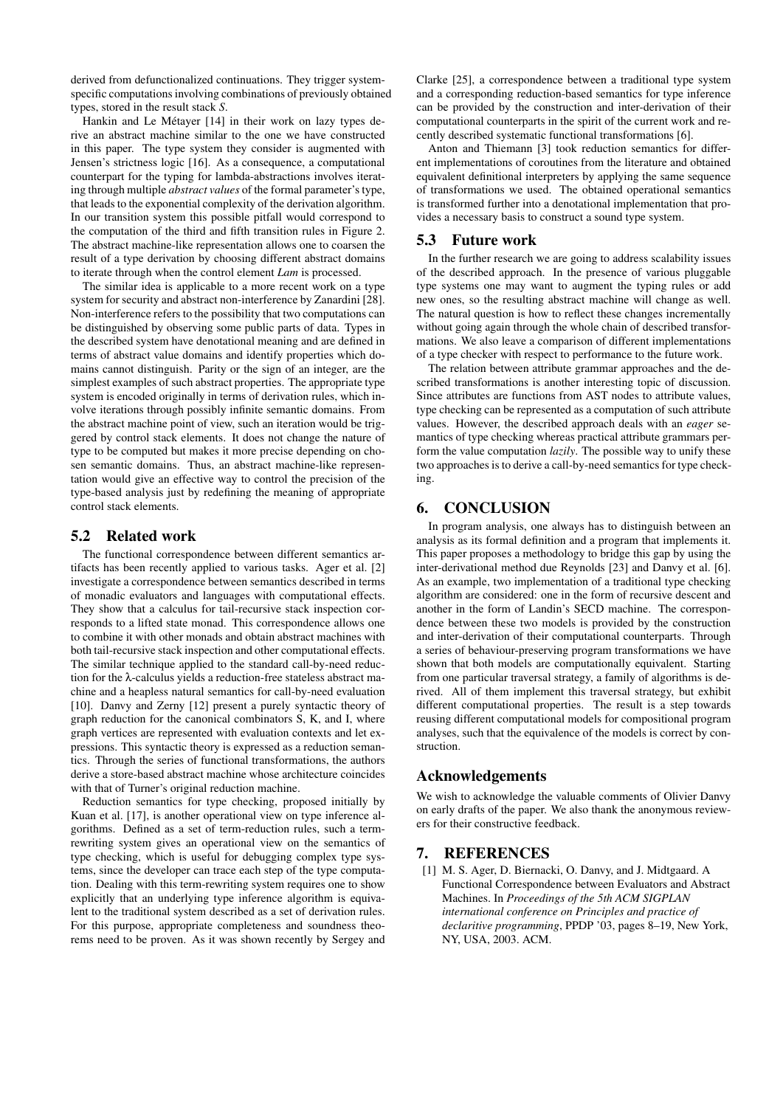derived from defunctionalized continuations. They trigger systemspecific computations involving combinations of previously obtained types, stored in the result stack *S*.

Hankin and Le Métayer [14] in their work on lazy types derive an abstract machine similar to the one we have constructed in this paper. The type system they consider is augmented with Jensen's strictness logic [16]. As a consequence, a computational counterpart for the typing for lambda-abstractions involves iterating through multiple *abstract values* of the formal parameter's type, that leads to the exponential complexity of the derivation algorithm. In our transition system this possible pitfall would correspond to the computation of the third and fifth transition rules in Figure 2. The abstract machine-like representation allows one to coarsen the result of a type derivation by choosing different abstract domains to iterate through when the control element *Lam* is processed.

The similar idea is applicable to a more recent work on a type system for security and abstract non-interference by Zanardini [28]. Non-interference refers to the possibility that two computations can be distinguished by observing some public parts of data. Types in the described system have denotational meaning and are defined in terms of abstract value domains and identify properties which domains cannot distinguish. Parity or the sign of an integer, are the simplest examples of such abstract properties. The appropriate type system is encoded originally in terms of derivation rules, which involve iterations through possibly infinite semantic domains. From the abstract machine point of view, such an iteration would be triggered by control stack elements. It does not change the nature of type to be computed but makes it more precise depending on chosen semantic domains. Thus, an abstract machine-like representation would give an effective way to control the precision of the type-based analysis just by redefining the meaning of appropriate control stack elements.

#### 5.2 Related work

The functional correspondence between different semantics artifacts has been recently applied to various tasks. Ager et al. [2] investigate a correspondence between semantics described in terms of monadic evaluators and languages with computational effects. They show that a calculus for tail-recursive stack inspection corresponds to a lifted state monad. This correspondence allows one to combine it with other monads and obtain abstract machines with both tail-recursive stack inspection and other computational effects. The similar technique applied to the standard call-by-need reduction for the λ-calculus yields a reduction-free stateless abstract machine and a heapless natural semantics for call-by-need evaluation [10]. Danvy and Zerny [12] present a purely syntactic theory of graph reduction for the canonical combinators S, K, and I, where graph vertices are represented with evaluation contexts and let expressions. This syntactic theory is expressed as a reduction semantics. Through the series of functional transformations, the authors derive a store-based abstract machine whose architecture coincides with that of Turner's original reduction machine.

Reduction semantics for type checking, proposed initially by Kuan et al. [17], is another operational view on type inference algorithms. Defined as a set of term-reduction rules, such a termrewriting system gives an operational view on the semantics of type checking, which is useful for debugging complex type systems, since the developer can trace each step of the type computation. Dealing with this term-rewriting system requires one to show explicitly that an underlying type inference algorithm is equivalent to the traditional system described as a set of derivation rules. For this purpose, appropriate completeness and soundness theorems need to be proven. As it was shown recently by Sergey and Clarke [25], a correspondence between a traditional type system and a corresponding reduction-based semantics for type inference can be provided by the construction and inter-derivation of their computational counterparts in the spirit of the current work and recently described systematic functional transformations [6].

Anton and Thiemann [3] took reduction semantics for different implementations of coroutines from the literature and obtained equivalent definitional interpreters by applying the same sequence of transformations we used. The obtained operational semantics is transformed further into a denotational implementation that provides a necessary basis to construct a sound type system.

### 5.3 Future work

In the further research we are going to address scalability issues of the described approach. In the presence of various pluggable type systems one may want to augment the typing rules or add new ones, so the resulting abstract machine will change as well. The natural question is how to reflect these changes incrementally without going again through the whole chain of described transformations. We also leave a comparison of different implementations of a type checker with respect to performance to the future work.

The relation between attribute grammar approaches and the described transformations is another interesting topic of discussion. Since attributes are functions from AST nodes to attribute values, type checking can be represented as a computation of such attribute values. However, the described approach deals with an *eager* semantics of type checking whereas practical attribute grammars perform the value computation *lazily*. The possible way to unify these two approaches is to derive a call-by-need semantics for type checking.

## 6. CONCLUSION

In program analysis, one always has to distinguish between an analysis as its formal definition and a program that implements it. This paper proposes a methodology to bridge this gap by using the inter-derivational method due Reynolds [23] and Danvy et al. [6]. As an example, two implementation of a traditional type checking algorithm are considered: one in the form of recursive descent and another in the form of Landin's SECD machine. The correspondence between these two models is provided by the construction and inter-derivation of their computational counterparts. Through a series of behaviour-preserving program transformations we have shown that both models are computationally equivalent. Starting from one particular traversal strategy, a family of algorithms is derived. All of them implement this traversal strategy, but exhibit different computational properties. The result is a step towards reusing different computational models for compositional program analyses, such that the equivalence of the models is correct by construction.

## Acknowledgements

We wish to acknowledge the valuable comments of Olivier Danvy on early drafts of the paper. We also thank the anonymous reviewers for their constructive feedback.

## 7. REFERENCES

[1] M. S. Ager, D. Biernacki, O. Danvy, and J. Midtgaard. A Functional Correspondence between Evaluators and Abstract Machines. In *Proceedings of the 5th ACM SIGPLAN international conference on Principles and practice of declaritive programming*, PPDP '03, pages 8–19, New York, NY, USA, 2003. ACM.